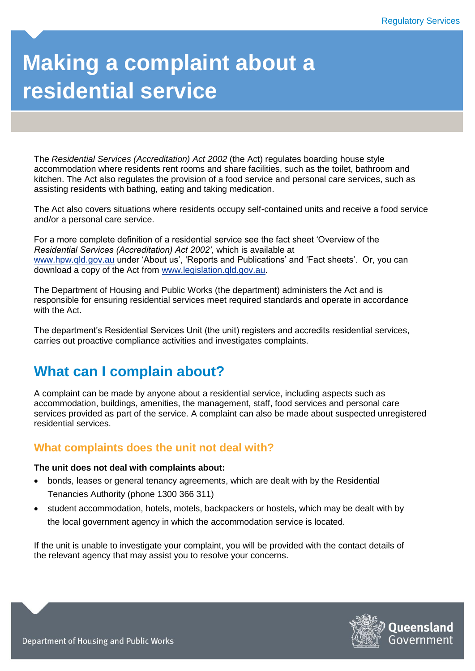# **Making a complaint about a residential service**

The *Residential Services (Accreditation) Act 2002* (the Act) regulates boarding house style accommodation where residents rent rooms and share facilities, such as the toilet, bathroom and kitchen. The Act also regulates the provision of a food service and personal care services, such as assisting residents with bathing, eating and taking medication.

The Act also covers situations where residents occupy self-contained units and receive a food service and/or a personal care service.

For a more complete definition of a residential service see the fact sheet 'Overview of the *Residential Services (Accreditation) Act 2002'*, which is available at [www.hpw.qld.gov.au](http://www.hpw.qld.gov.au/) under 'About us', 'Reports and Publications' and 'Fact sheets'. Or, you can download a copy of the Act from [www.legislation.qld.gov.au.](http://www.legislation.qld.gov.au/)

The Department of Housing and Public Works (the department) administers the Act and is responsible for ensuring residential services meet required standards and operate in accordance with the Act.

The department's Residential Services Unit (the unit) registers and accredits residential services, carries out proactive compliance activities and investigates complaints.

## **What can I complain about?**

A complaint can be made by anyone about a residential service, including aspects such as accommodation, buildings, amenities, the management, staff, food services and personal care services provided as part of the service. A complaint can also be made about suspected unregistered residential services.

#### **What complaints does the unit not deal with?**

#### **The unit does not deal with complaints about:**

- bonds, leases or general tenancy agreements, which are dealt with by the Residential Tenancies Authority (phone 1300 366 311)
- student accommodation, hotels, motels, backpackers or hostels, which may be dealt with by the local government agency in which the accommodation service is located.

If the unit is unable to investigate your complaint, you will be provided with the contact details of the relevant agency that may assist you to resolve your concerns.

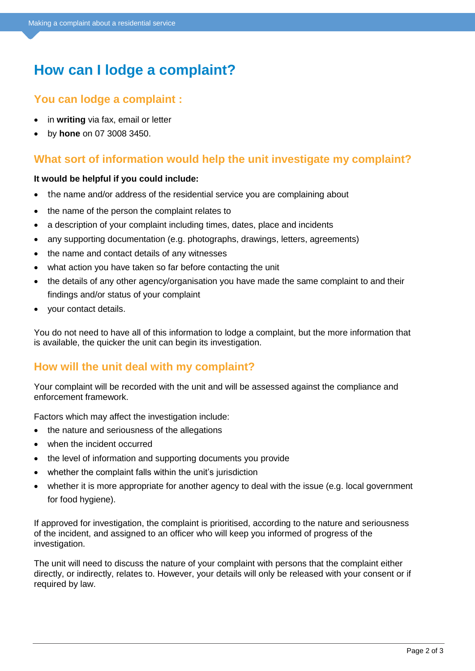# **How can I lodge a complaint?**

### **You can lodge a complaint :**

- in **writing** via fax, email or letter
- by **hone** on 07 3008 3450.

## **What sort of information would help the unit investigate my complaint?**

#### **It would be helpful if you could include:**

- the name and/or address of the residential service you are complaining about
- the name of the person the complaint relates to
- a description of your complaint including times, dates, place and incidents
- any supporting documentation (e.g. photographs, drawings, letters, agreements)
- the name and contact details of any witnesses
- what action you have taken so far before contacting the unit
- the details of any other agency/organisation you have made the same complaint to and their findings and/or status of your complaint
- your contact details.

You do not need to have all of this information to lodge a complaint, but the more information that is available, the quicker the unit can begin its investigation.

#### **How will the unit deal with my complaint?**

Your complaint will be recorded with the unit and will be assessed against the compliance and enforcement framework.

Factors which may affect the investigation include:

- the nature and seriousness of the allegations
- when the incident occurred
- the level of information and supporting documents you provide
- whether the complaint falls within the unit's jurisdiction
- whether it is more appropriate for another agency to deal with the issue (e.g. local government for food hygiene).

If approved for investigation, the complaint is prioritised, according to the nature and seriousness of the incident, and assigned to an officer who will keep you informed of progress of the investigation.

The unit will need to discuss the nature of your complaint with persons that the complaint either directly, or indirectly, relates to. However, your details will only be released with your consent or if required by law.